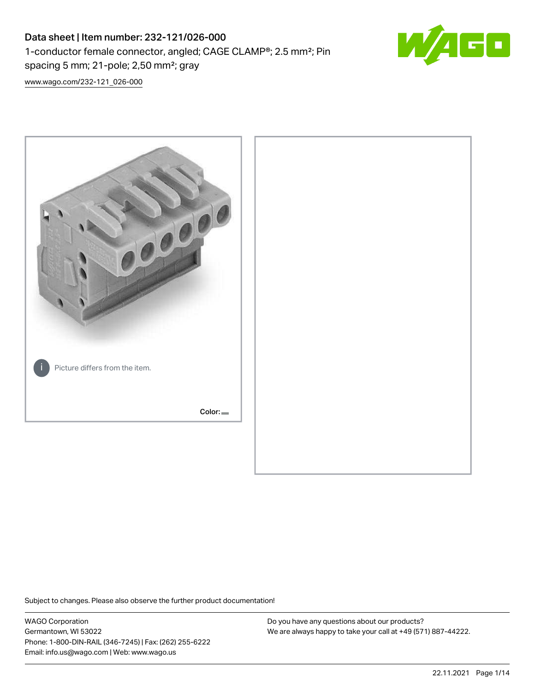# Data sheet | Item number: 232-121/026-000 1-conductor female connector, angled; CAGE CLAMP®; 2.5 mm²; Pin spacing 5 mm; 21-pole; 2,50 mm²; gray



[www.wago.com/232-121\\_026-000](http://www.wago.com/232-121_026-000)



Subject to changes. Please also observe the further product documentation!

WAGO Corporation Germantown, WI 53022 Phone: 1-800-DIN-RAIL (346-7245) | Fax: (262) 255-6222 Email: info.us@wago.com | Web: www.wago.us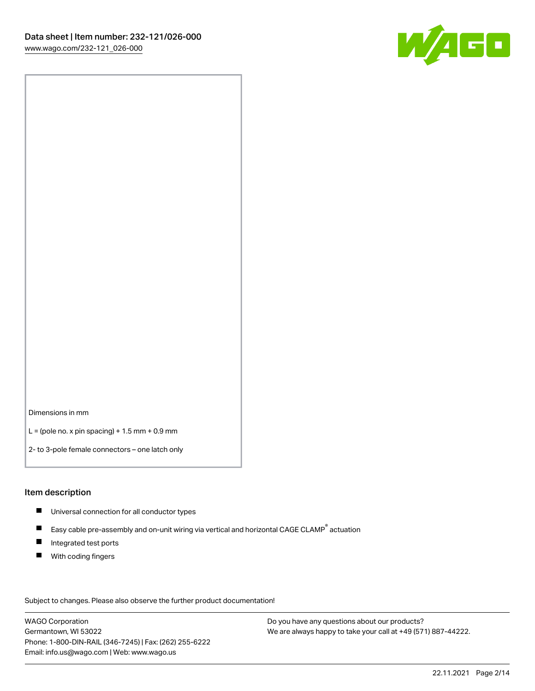

Dimensions in mm

 $L =$  (pole no. x pin spacing) + 1.5 mm + 0.9 mm

2- to 3-pole female connectors – one latch only

#### Item description

- **Universal connection for all conductor types**
- Easy cable pre-assembly and on-unit wiring via vertical and horizontal CAGE CLAMP<sup>®</sup> actuation  $\blacksquare$
- $\blacksquare$ Integrated test ports
- $\blacksquare$ With coding fingers

Subject to changes. Please also observe the further product documentation! Data

WAGO Corporation Germantown, WI 53022 Phone: 1-800-DIN-RAIL (346-7245) | Fax: (262) 255-6222 Email: info.us@wago.com | Web: www.wago.us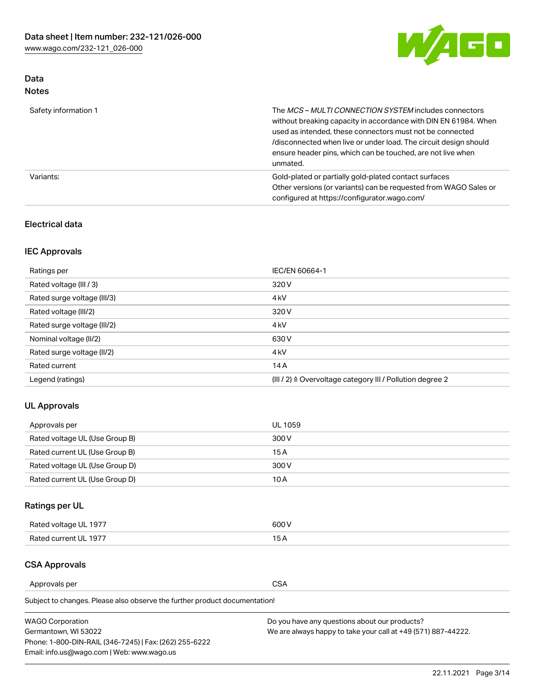

### Data Notes

| Safety information 1 | The MCS-MULTI CONNECTION SYSTEM includes connectors<br>without breaking capacity in accordance with DIN EN 61984. When<br>used as intended, these connectors must not be connected<br>/disconnected when live or under load. The circuit design should<br>ensure header pins, which can be touched, are not live when<br>unmated. |
|----------------------|-----------------------------------------------------------------------------------------------------------------------------------------------------------------------------------------------------------------------------------------------------------------------------------------------------------------------------------|
| Variants:            | Gold-plated or partially gold-plated contact surfaces<br>Other versions (or variants) can be requested from WAGO Sales or<br>configured at https://configurator.wago.com/                                                                                                                                                         |

### Electrical data

### IEC Approvals

| Ratings per                 | IEC/EN 60664-1                                                        |
|-----------------------------|-----------------------------------------------------------------------|
| Rated voltage (III / 3)     | 320 V                                                                 |
| Rated surge voltage (III/3) | 4 <sub>k</sub> V                                                      |
| Rated voltage (III/2)       | 320 V                                                                 |
| Rated surge voltage (III/2) | 4 <sub>k</sub> V                                                      |
| Nominal voltage (II/2)      | 630 V                                                                 |
| Rated surge voltage (II/2)  | 4 <sub>k</sub> V                                                      |
| Rated current               | 14A                                                                   |
| Legend (ratings)            | $(III / 2)$ $\triangle$ Overvoltage category III / Pollution degree 2 |

### UL Approvals

| Approvals per                  | UL 1059 |
|--------------------------------|---------|
| Rated voltage UL (Use Group B) | 300 V   |
| Rated current UL (Use Group B) | 15 A    |
| Rated voltage UL (Use Group D) | 300 V   |
| Rated current UL (Use Group D) | 10 A    |

# Ratings per UL

| Rated voltage UL 1977 | 300 V |
|-----------------------|-------|
| Rated current UL 1977 |       |

#### CSA Approvals

Approvals per CSA

Subject to changes. Please also observe the further product documentation!

| <b>WAGO Corporation</b>                                | Do you have any questions about our products?                 |
|--------------------------------------------------------|---------------------------------------------------------------|
| Germantown, WI 53022                                   | We are always happy to take your call at +49 (571) 887-44222. |
| Phone: 1-800-DIN-RAIL (346-7245)   Fax: (262) 255-6222 |                                                               |
| Email: info.us@wago.com   Web: www.wago.us             |                                                               |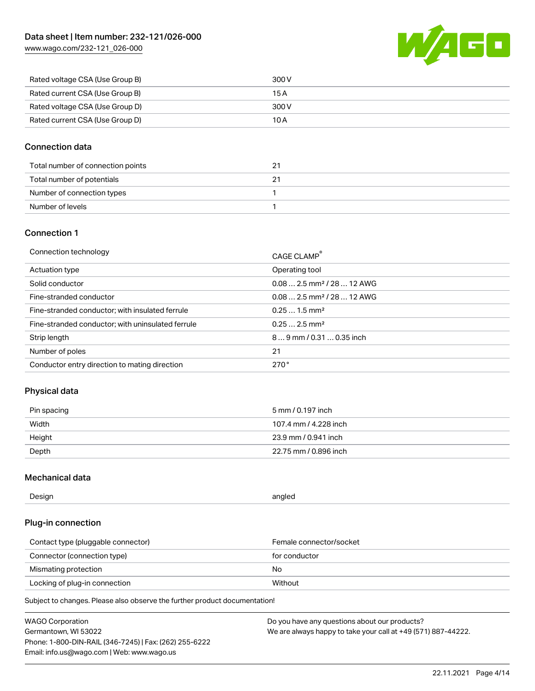[www.wago.com/232-121\\_026-000](http://www.wago.com/232-121_026-000)



| Rated voltage CSA (Use Group B) | 300 V |
|---------------------------------|-------|
| Rated current CSA (Use Group B) | 15 A  |
| Rated voltage CSA (Use Group D) | 300 V |
| Rated current CSA (Use Group D) | 10 A  |

### Connection data

| Total number of connection points |  |
|-----------------------------------|--|
| Total number of potentials        |  |
| Number of connection types        |  |
| Number of levels                  |  |

#### Connection 1

| Connection technology                             | CAGE CLAMP®                            |
|---------------------------------------------------|----------------------------------------|
| Actuation type                                    | Operating tool                         |
| Solid conductor                                   | $0.082.5$ mm <sup>2</sup> / 28  12 AWG |
| Fine-stranded conductor                           | $0.082.5$ mm <sup>2</sup> / 28  12 AWG |
| Fine-stranded conductor; with insulated ferrule   | $0.251.5$ mm <sup>2</sup>              |
| Fine-stranded conductor; with uninsulated ferrule | $0.252.5$ mm <sup>2</sup>              |
| Strip length                                      | $89$ mm $/ 0.310.35$ inch              |
| Number of poles                                   | 21                                     |
| Conductor entry direction to mating direction     | 270°                                   |

### Physical data

| Pin spacing | 5 mm / 0.197 inch     |
|-------------|-----------------------|
| Width       | 107.4 mm / 4.228 inch |
| Height      | 23.9 mm / 0.941 inch  |
| Depth       | 22.75 mm / 0.896 inch |

### Mechanical data

| --<br>Design | angled<br>. . |
|--------------|---------------|
|              |               |

### Plug-in connection

| Contact type (pluggable connector) | Female connector/socket |
|------------------------------------|-------------------------|
| Connector (connection type)        | for conductor           |
| Mismating protection               | No.                     |
| Locking of plug-in connection      | Without                 |

Subject to changes. Please also observe the further product documentation!

| <b>WAGO Corporation</b>                                | Do you have any questions about our products?                 |
|--------------------------------------------------------|---------------------------------------------------------------|
| Germantown, WI 53022                                   | We are always happy to take your call at +49 (571) 887-44222. |
| Phone: 1-800-DIN-RAIL (346-7245)   Fax: (262) 255-6222 |                                                               |
| Email: info.us@wago.com   Web: www.wago.us             |                                                               |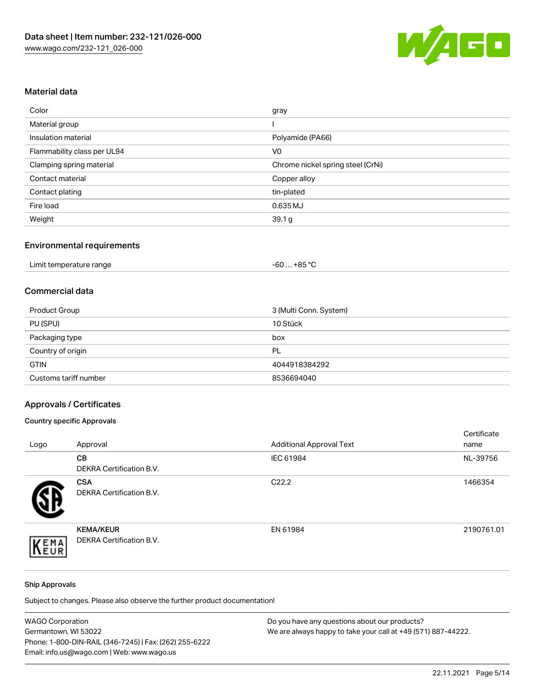

### Material data

| Color                       | gray                              |
|-----------------------------|-----------------------------------|
| Material group              |                                   |
| Insulation material         | Polyamide (PA66)                  |
| Flammability class per UL94 | V <sub>0</sub>                    |
| Clamping spring material    | Chrome nickel spring steel (CrNi) |
| Contact material            | Copper alloy                      |
| Contact plating             | tin-plated                        |
| Fire load                   | 0.635 MJ                          |
| Weight                      | 39.1 <sub>g</sub>                 |

# Environmental requirements

| Limit temperature range<br>.<br>$\blacksquare$ . The contract of the contract of the contract of the contract of the contract of the contract of the contract of the contract of the contract of the contract of the contract of the contract of the contract of the | . +85 °Ր<br>-60 |
|----------------------------------------------------------------------------------------------------------------------------------------------------------------------------------------------------------------------------------------------------------------------|-----------------|
|----------------------------------------------------------------------------------------------------------------------------------------------------------------------------------------------------------------------------------------------------------------------|-----------------|

#### Commercial data

| Product Group         | 3 (Multi Conn. System) |
|-----------------------|------------------------|
| PU (SPU)              | 10 Stück               |
| Packaging type        | box                    |
| Country of origin     | PL                     |
| <b>GTIN</b>           | 4044918384292          |
| Customs tariff number | 8536694040             |

# Approvals / Certificates

### Country specific Approvals

| Logo | Approval                                            | <b>Additional Approval Text</b> | Certificate<br>name |
|------|-----------------------------------------------------|---------------------------------|---------------------|
|      | CВ<br><b>DEKRA Certification B.V.</b>               | IEC 61984                       | NL-39756            |
|      | <b>CSA</b><br><b>DEKRA Certification B.V.</b>       | C <sub>22.2</sub>               | 1466354             |
| EMA  | <b>KEMA/KEUR</b><br><b>DEKRA Certification B.V.</b> | EN 61984                        | 2190761.01          |

#### Ship Approvals

Subject to changes. Please also observe the further product documentation!

| <b>WAGO Corporation</b>                                | Do you have any questions about our products?                 |
|--------------------------------------------------------|---------------------------------------------------------------|
| Germantown, WI 53022                                   | We are always happy to take your call at +49 (571) 887-44222. |
| Phone: 1-800-DIN-RAIL (346-7245)   Fax: (262) 255-6222 |                                                               |
| Email: info.us@wago.com   Web: www.wago.us             |                                                               |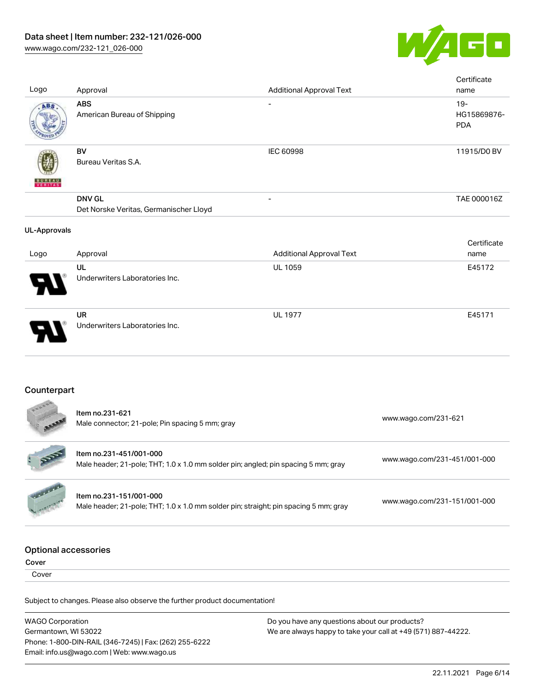

| Logo                                 | Approval                                                                                                        | <b>Additional Approval Text</b> | Certificate<br>name                 |  |
|--------------------------------------|-----------------------------------------------------------------------------------------------------------------|---------------------------------|-------------------------------------|--|
| ABS                                  | <b>ABS</b><br>American Bureau of Shipping                                                                       |                                 | $19 -$<br>HG15869876-<br><b>PDA</b> |  |
|                                      | <b>BV</b><br>Bureau Veritas S.A.                                                                                | <b>IEC 60998</b>                | 11915/D0 BV                         |  |
|                                      | <b>DNV GL</b><br>Det Norske Veritas, Germanischer Lloyd                                                         |                                 | TAE 000016Z                         |  |
| <b>UL-Approvals</b>                  |                                                                                                                 |                                 |                                     |  |
| Logo                                 | Approval                                                                                                        | <b>Additional Approval Text</b> | Certificate<br>name                 |  |
|                                      | UL<br>Underwriters Laboratories Inc.                                                                            | UL 1059                         | E45172                              |  |
|                                      | <b>UR</b><br>Underwriters Laboratories Inc.                                                                     | <b>UL 1977</b>                  | E45171                              |  |
| Counterpart                          |                                                                                                                 |                                 |                                     |  |
|                                      | Item no.231-621<br>Male connector; 21-pole; Pin spacing 5 mm; gray                                              |                                 | www.wago.com/231-621                |  |
|                                      | Item no.231-451/001-000<br>Male header; 21-pole; THT; 1.0 x 1.0 mm solder pin; angled; pin spacing 5 mm; gray   |                                 | www.wago.com/231-451/001-000        |  |
|                                      | Item no.231-151/001-000<br>Male header; 21-pole; THT; 1.0 x 1.0 mm solder pin; straight; pin spacing 5 mm; gray |                                 | www.wago.com/231-151/001-000        |  |
| <b>Optional accessories</b><br>Cover |                                                                                                                 |                                 |                                     |  |
| Cover                                |                                                                                                                 |                                 |                                     |  |
|                                      | Subject to changes. Please also observe the further product documentation!                                      |                                 |                                     |  |

WAGO Corporation Germantown, WI 53022 Phone: 1-800-DIN-RAIL (346-7245) | Fax: (262) 255-6222 Email: info.us@wago.com | Web: www.wago.us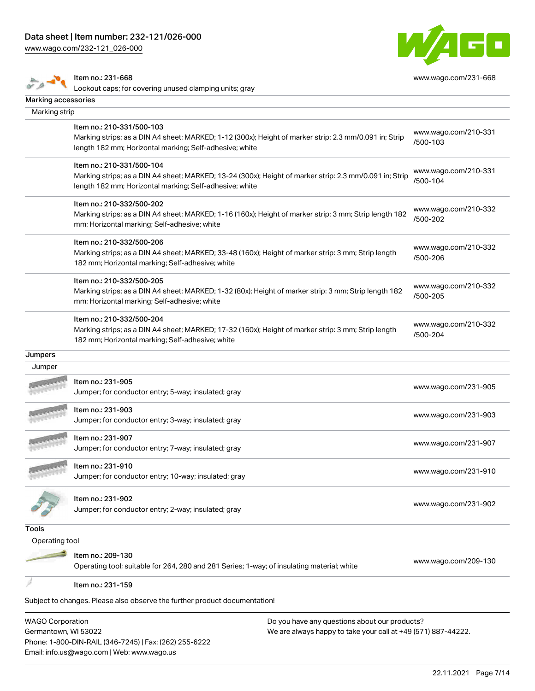[www.wago.com/232-121\\_026-000](http://www.wago.com/232-121_026-000)



|                     | Item no.: 231-668<br>Lockout caps; for covering unused clamping units; gray                             | www.wago.com/231-668 |
|---------------------|---------------------------------------------------------------------------------------------------------|----------------------|
| Marking accessories |                                                                                                         |                      |
| Marking strip       |                                                                                                         |                      |
|                     | Item no.: 210-331/500-103                                                                               | www.wago.com/210-331 |
|                     | Marking strips; as a DIN A4 sheet; MARKED; 1-12 (300x); Height of marker strip: 2.3 mm/0.091 in; Strip  | /500-103             |
|                     | length 182 mm; Horizontal marking; Self-adhesive; white                                                 |                      |
|                     | Item no.: 210-331/500-104                                                                               | www.wago.com/210-331 |
|                     | Marking strips; as a DIN A4 sheet; MARKED; 13-24 (300x); Height of marker strip: 2.3 mm/0.091 in; Strip | /500-104             |
|                     | length 182 mm; Horizontal marking; Self-adhesive; white                                                 |                      |
|                     | Item no.: 210-332/500-202                                                                               | www.wago.com/210-332 |
|                     | Marking strips; as a DIN A4 sheet; MARKED; 1-16 (160x); Height of marker strip: 3 mm; Strip length 182  | /500-202             |
|                     | mm; Horizontal marking; Self-adhesive; white                                                            |                      |
|                     | Item no.: 210-332/500-206                                                                               | www.wago.com/210-332 |
|                     | Marking strips; as a DIN A4 sheet; MARKED; 33-48 (160x); Height of marker strip: 3 mm; Strip length     | /500-206             |
|                     | 182 mm; Horizontal marking; Self-adhesive; white                                                        |                      |
|                     | Item no.: 210-332/500-205                                                                               | www.wago.com/210-332 |
|                     | Marking strips; as a DIN A4 sheet; MARKED; 1-32 (80x); Height of marker strip: 3 mm; Strip length 182   | /500-205             |
|                     | mm; Horizontal marking; Self-adhesive; white                                                            |                      |
|                     | Item no.: 210-332/500-204                                                                               | www.wago.com/210-332 |
|                     | Marking strips; as a DIN A4 sheet; MARKED; 17-32 (160x); Height of marker strip: 3 mm; Strip length     | /500-204             |
|                     | 182 mm; Horizontal marking; Self-adhesive; white                                                        |                      |
| Jumpers             |                                                                                                         |                      |
| Jumper              |                                                                                                         |                      |
|                     | Item no.: 231-905                                                                                       | www.wago.com/231-905 |
|                     | Jumper; for conductor entry; 5-way; insulated; gray                                                     |                      |
|                     | Item no.: 231-903                                                                                       |                      |
|                     | Jumper; for conductor entry; 3-way; insulated; gray                                                     | www.wago.com/231-903 |
|                     | Item no.: 231-907                                                                                       |                      |
|                     | Jumper; for conductor entry; 7-way; insulated; gray                                                     | www.wago.com/231-907 |
|                     | ltem no.: 231-910                                                                                       |                      |
|                     | Jumper; for conductor entry; 10-way; insulated; gray                                                    | www.wago.com/231-910 |
|                     |                                                                                                         |                      |
|                     | Item no.: 231-902<br>Jumper; for conductor entry; 2-way; insulated; gray                                | www.wago.com/231-902 |
|                     |                                                                                                         |                      |
| Tools               |                                                                                                         |                      |
| Operating tool      |                                                                                                         |                      |
|                     | Item no.: 209-130                                                                                       | www.wago.com/209-130 |
|                     | Operating tool; suitable for 264, 280 and 281 Series; 1-way; of insulating material; white              |                      |
|                     | Item no.: 231-159                                                                                       |                      |
|                     |                                                                                                         |                      |
|                     | Subject to changes. Please also observe the further product documentation!                              |                      |
|                     |                                                                                                         |                      |

WAGO Corporation Germantown, WI 53022 Phone: 1-800-DIN-RAIL (346-7245) | Fax: (262) 255-6222 Email: info.us@wago.com | Web: www.wago.us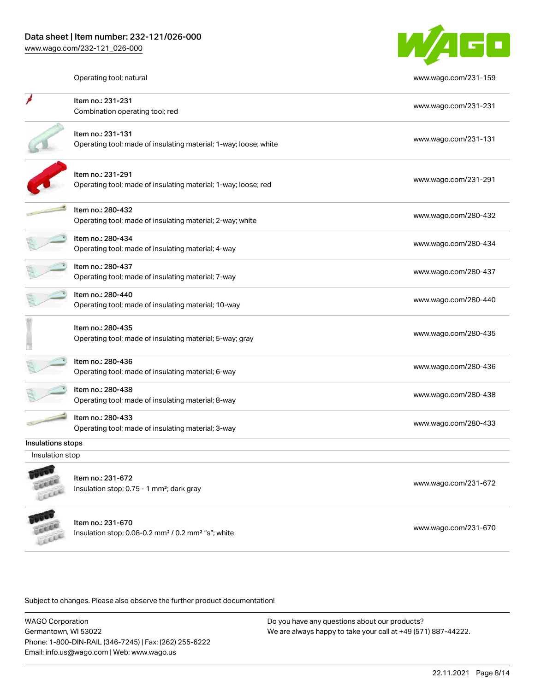

Operating tool; natural [www.wago.com/231-159](http://www.wago.com/231-159)

|                          | Item no.: 231-231<br>Combination operating tool; red                                            | www.wago.com/231-231 |
|--------------------------|-------------------------------------------------------------------------------------------------|----------------------|
|                          | Item no.: 231-131<br>Operating tool; made of insulating material; 1-way; loose; white           | www.wago.com/231-131 |
|                          | Item no.: 231-291<br>Operating tool; made of insulating material; 1-way; loose; red             | www.wago.com/231-291 |
|                          | Item no.: 280-432<br>Operating tool; made of insulating material; 2-way; white                  | www.wago.com/280-432 |
|                          | Item no.: 280-434<br>Operating tool; made of insulating material; 4-way                         | www.wago.com/280-434 |
|                          | Item no.: 280-437<br>Operating tool; made of insulating material; 7-way                         | www.wago.com/280-437 |
|                          | Item no.: 280-440<br>Operating tool; made of insulating material; 10-way                        | www.wago.com/280-440 |
|                          | Item no.: 280-435<br>Operating tool; made of insulating material; 5-way; gray                   | www.wago.com/280-435 |
|                          | Item no.: 280-436<br>Operating tool; made of insulating material; 6-way                         | www.wago.com/280-436 |
|                          | Item no.: 280-438<br>Operating tool; made of insulating material; 8-way                         | www.wago.com/280-438 |
|                          | Item no.: 280-433<br>Operating tool; made of insulating material; 3-way                         | www.wago.com/280-433 |
| <b>Insulations stops</b> |                                                                                                 |                      |
| Insulation stop          |                                                                                                 |                      |
| LEEEE                    | Item no.: 231-672<br>Insulation stop; 0.75 - 1 mm <sup>2</sup> ; dark gray                      | www.wago.com/231-672 |
|                          | Item no.: 231-670<br>Insulation stop; 0.08-0.2 mm <sup>2</sup> / 0.2 mm <sup>2</sup> "s"; white | www.wago.com/231-670 |

Subject to changes. Please also observe the further product documentation!

WAGO Corporation Germantown, WI 53022 Phone: 1-800-DIN-RAIL (346-7245) | Fax: (262) 255-6222 Email: info.us@wago.com | Web: www.wago.us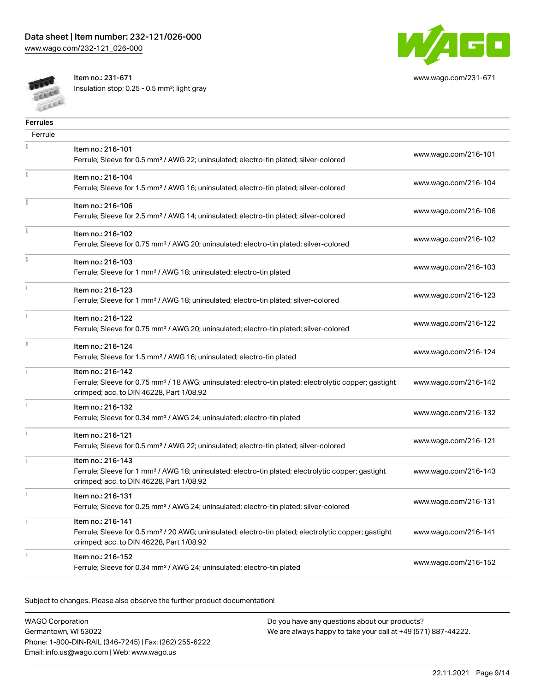

[www.wago.com/231-671](http://www.wago.com/231-671)

**COLUM** Cocca Item no.: 231-671 Insulation stop; 0.25 - 0.5 mm²; light gray

| <b>Ferrules</b> |                                                                                                                                                                                    |                      |
|-----------------|------------------------------------------------------------------------------------------------------------------------------------------------------------------------------------|----------------------|
| Ferrule         |                                                                                                                                                                                    |                      |
|                 | Item no.: 216-101<br>Ferrule; Sleeve for 0.5 mm <sup>2</sup> / AWG 22; uninsulated; electro-tin plated; silver-colored                                                             | www.wago.com/216-101 |
|                 | Item no.: 216-104<br>Ferrule; Sleeve for 1.5 mm <sup>2</sup> / AWG 16; uninsulated; electro-tin plated; silver-colored                                                             | www.wago.com/216-104 |
|                 | Item no.: 216-106<br>Ferrule; Sleeve for 2.5 mm <sup>2</sup> / AWG 14; uninsulated; electro-tin plated; silver-colored                                                             | www.wago.com/216-106 |
|                 | Item no.: 216-102<br>Ferrule; Sleeve for 0.75 mm <sup>2</sup> / AWG 20; uninsulated; electro-tin plated; silver-colored                                                            | www.wago.com/216-102 |
|                 | Item no.: 216-103<br>Ferrule; Sleeve for 1 mm <sup>2</sup> / AWG 18; uninsulated; electro-tin plated                                                                               | www.wago.com/216-103 |
|                 | Item no.: 216-123<br>Ferrule; Sleeve for 1 mm <sup>2</sup> / AWG 18; uninsulated; electro-tin plated; silver-colored                                                               | www.wago.com/216-123 |
|                 | Item no.: 216-122<br>Ferrule; Sleeve for 0.75 mm <sup>2</sup> / AWG 20; uninsulated; electro-tin plated; silver-colored                                                            | www.wago.com/216-122 |
|                 | Item no.: 216-124<br>Ferrule; Sleeve for 1.5 mm <sup>2</sup> / AWG 16; uninsulated; electro-tin plated                                                                             | www.wago.com/216-124 |
|                 | Item no.: 216-142<br>Ferrule; Sleeve for 0.75 mm <sup>2</sup> / 18 AWG; uninsulated; electro-tin plated; electrolytic copper; gastight<br>crimped; acc. to DIN 46228, Part 1/08.92 | www.wago.com/216-142 |
|                 | Item no.: 216-132<br>Ferrule; Sleeve for 0.34 mm <sup>2</sup> / AWG 24; uninsulated; electro-tin plated                                                                            | www.wago.com/216-132 |
|                 | Item no.: 216-121<br>Ferrule; Sleeve for 0.5 mm <sup>2</sup> / AWG 22; uninsulated; electro-tin plated; silver-colored                                                             | www.wago.com/216-121 |
|                 | Item no.: 216-143<br>Ferrule; Sleeve for 1 mm <sup>2</sup> / AWG 18; uninsulated; electro-tin plated; electrolytic copper; gastight<br>crimped; acc. to DIN 46228, Part 1/08.92    | www.wago.com/216-143 |
|                 | Item no.: 216-131<br>Ferrule; Sleeve for 0.25 mm <sup>2</sup> / AWG 24; uninsulated; electro-tin plated; silver-colored                                                            | www.wago.com/216-131 |
|                 | Item no.: 216-141<br>Ferrule; Sleeve for 0.5 mm <sup>2</sup> / 20 AWG; uninsulated; electro-tin plated; electrolytic copper; gastight<br>crimped; acc. to DIN 46228, Part 1/08.92  | www.wago.com/216-141 |
|                 | Item no.: 216-152<br>Ferrule; Sleeve for 0.34 mm <sup>2</sup> / AWG 24; uninsulated; electro-tin plated                                                                            | www.wago.com/216-152 |

Subject to changes. Please also observe the further product documentation!

| <b>WAGO Corporation</b>                                | Do you hay |
|--------------------------------------------------------|------------|
| Germantown, WI 53022                                   | We are alw |
| Phone: 1-800-DIN-RAIL (346-7245)   Fax: (262) 255-6222 |            |
| Email: info.us@wago.com   Web: www.wago.us             |            |

e any questions about our products? ays happy to take your call at +49 (571) 887-44222.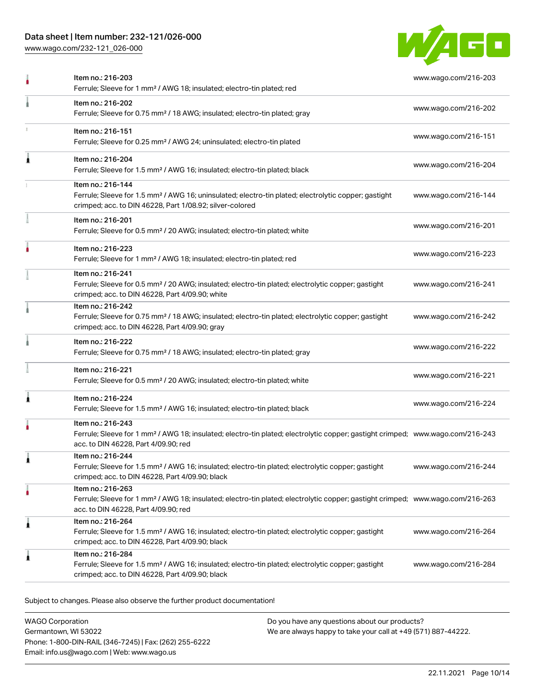### Data sheet | Item number: 232-121/026-000

[www.wago.com/232-121\\_026-000](http://www.wago.com/232-121_026-000)



|   | Item no.: 216-203<br>Ferrule; Sleeve for 1 mm <sup>2</sup> / AWG 18; insulated; electro-tin plated; red                                                                                                 | www.wago.com/216-203 |
|---|---------------------------------------------------------------------------------------------------------------------------------------------------------------------------------------------------------|----------------------|
|   | Item no.: 216-202<br>Ferrule; Sleeve for 0.75 mm <sup>2</sup> / 18 AWG; insulated; electro-tin plated; gray                                                                                             | www.wago.com/216-202 |
|   | Item no.: 216-151<br>Ferrule; Sleeve for 0.25 mm <sup>2</sup> / AWG 24; uninsulated; electro-tin plated                                                                                                 | www.wago.com/216-151 |
|   | Item no.: 216-204<br>Ferrule; Sleeve for 1.5 mm <sup>2</sup> / AWG 16; insulated; electro-tin plated; black                                                                                             | www.wago.com/216-204 |
|   | Item no.: 216-144<br>Ferrule; Sleeve for 1.5 mm <sup>2</sup> / AWG 16; uninsulated; electro-tin plated; electrolytic copper; gastight<br>crimped; acc. to DIN 46228, Part 1/08.92; silver-colored       | www.wago.com/216-144 |
|   | Item no.: 216-201<br>Ferrule; Sleeve for 0.5 mm <sup>2</sup> / 20 AWG; insulated; electro-tin plated; white                                                                                             | www.wago.com/216-201 |
|   | Item no.: 216-223<br>Ferrule; Sleeve for 1 mm <sup>2</sup> / AWG 18; insulated; electro-tin plated; red                                                                                                 | www.wago.com/216-223 |
|   | Item no.: 216-241<br>Ferrule; Sleeve for 0.5 mm <sup>2</sup> / 20 AWG; insulated; electro-tin plated; electrolytic copper; gastight<br>crimped; acc. to DIN 46228, Part 4/09.90; white                  | www.wago.com/216-241 |
|   | Item no.: 216-242<br>Ferrule; Sleeve for 0.75 mm <sup>2</sup> / 18 AWG; insulated; electro-tin plated; electrolytic copper; gastight<br>crimped; acc. to DIN 46228, Part 4/09.90; gray                  | www.wago.com/216-242 |
|   | Item no.: 216-222<br>Ferrule; Sleeve for 0.75 mm <sup>2</sup> / 18 AWG; insulated; electro-tin plated; gray                                                                                             | www.wago.com/216-222 |
|   | Item no.: 216-221<br>Ferrule; Sleeve for 0.5 mm <sup>2</sup> / 20 AWG; insulated; electro-tin plated; white                                                                                             | www.wago.com/216-221 |
|   | Item no.: 216-224<br>Ferrule; Sleeve for 1.5 mm <sup>2</sup> / AWG 16; insulated; electro-tin plated; black                                                                                             | www.wago.com/216-224 |
|   | Item no.: 216-243<br>Ferrule; Sleeve for 1 mm <sup>2</sup> / AWG 18; insulated; electro-tin plated; electrolytic copper; gastight crimped; www.wago.com/216-243<br>acc. to DIN 46228, Part 4/09.90; red |                      |
|   | Item no.: 216-244<br>Ferrule; Sleeve for 1.5 mm <sup>2</sup> / AWG 16; insulated; electro-tin plated; electrolytic copper; gastight<br>crimped; acc. to DIN 46228, Part 4/09.90; black                  | www.wago.com/216-244 |
|   | Item no.: 216-263<br>Ferrule; Sleeve for 1 mm <sup>2</sup> / AWG 18; insulated; electro-tin plated; electrolytic copper; gastight crimped; www.wago.com/216-263<br>acc. to DIN 46228, Part 4/09.90; red |                      |
| Â | Item no.: 216-264<br>Ferrule; Sleeve for 1.5 mm <sup>2</sup> / AWG 16; insulated; electro-tin plated; electrolytic copper; gastight<br>crimped; acc. to DIN 46228, Part 4/09.90; black                  | www.wago.com/216-264 |
|   | Item no.: 216-284<br>Ferrule; Sleeve for 1.5 mm <sup>2</sup> / AWG 16; insulated; electro-tin plated; electrolytic copper; gastight<br>crimped; acc. to DIN 46228, Part 4/09.90; black                  | www.wago.com/216-284 |

Subject to changes. Please also observe the further product documentation!

WAGO Corporation Germantown, WI 53022 Phone: 1-800-DIN-RAIL (346-7245) | Fax: (262) 255-6222 Email: info.us@wago.com | Web: www.wago.us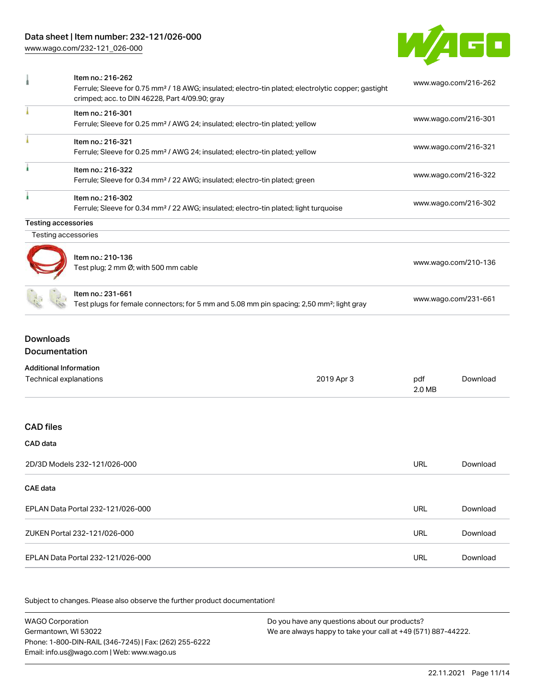## Data sheet | Item number: 232-121/026-000

[www.wago.com/232-121\\_026-000](http://www.wago.com/232-121_026-000)



|                                                         | Item no.: 216-262<br>Ferrule; Sleeve for 0.75 mm <sup>2</sup> / 18 AWG; insulated; electro-tin plated; electrolytic copper; gastight<br>crimped; acc. to DIN 46228, Part 4/09.90; gray |            |     | www.wago.com/216-262 |
|---------------------------------------------------------|----------------------------------------------------------------------------------------------------------------------------------------------------------------------------------------|------------|-----|----------------------|
|                                                         | Item no.: 216-301<br>Ferrule; Sleeve for 0.25 mm <sup>2</sup> / AWG 24; insulated; electro-tin plated; yellow                                                                          |            |     | www.wago.com/216-301 |
|                                                         | Item no.: 216-321<br>Ferrule; Sleeve for 0.25 mm <sup>2</sup> / AWG 24; insulated; electro-tin plated; yellow                                                                          |            |     | www.wago.com/216-321 |
|                                                         | Item no.: 216-322<br>Ferrule; Sleeve for 0.34 mm <sup>2</sup> / 22 AWG; insulated; electro-tin plated; green                                                                           |            |     | www.wago.com/216-322 |
|                                                         | Item no.: 216-302<br>Ferrule; Sleeve for 0.34 mm <sup>2</sup> / 22 AWG; insulated; electro-tin plated; light turquoise                                                                 |            |     | www.wago.com/216-302 |
| <b>Testing accessories</b>                              |                                                                                                                                                                                        |            |     |                      |
| Testing accessories                                     |                                                                                                                                                                                        |            |     |                      |
|                                                         | Item no.: 210-136<br>Test plug; 2 mm Ø; with 500 mm cable                                                                                                                              |            |     | www.wago.com/210-136 |
|                                                         | Item no.: 231-661<br>Test plugs for female connectors; for 5 mm and 5.08 mm pin spacing; 2,50 mm <sup>2</sup> ; light gray                                                             |            |     | www.wago.com/231-661 |
| <b>Downloads</b><br><b>Documentation</b>                |                                                                                                                                                                                        |            |     |                      |
| <b>Additional Information</b><br>Technical explanations |                                                                                                                                                                                        | 2019 Apr 3 | pdf | Download             |

|                                   | 2.0 MB     |          |
|-----------------------------------|------------|----------|
| <b>CAD files</b>                  |            |          |
| CAD data                          |            |          |
| 2D/3D Models 232-121/026-000      | <b>URL</b> | Download |
| CAE data                          |            |          |
| EPLAN Data Portal 232-121/026-000 | <b>URL</b> | Download |
| ZUKEN Portal 232-121/026-000      | URL        | Download |
| EPLAN Data Portal 232-121/026-000 | URL        | Download |

Subject to changes. Please also observe the further product documentation!

WAGO Corporation Germantown, WI 53022 Phone: 1-800-DIN-RAIL (346-7245) | Fax: (262) 255-6222 Email: info.us@wago.com | Web: www.wago.us Do you have any questions about our products? We are always happy to take your call at +49 (571) 887-44222.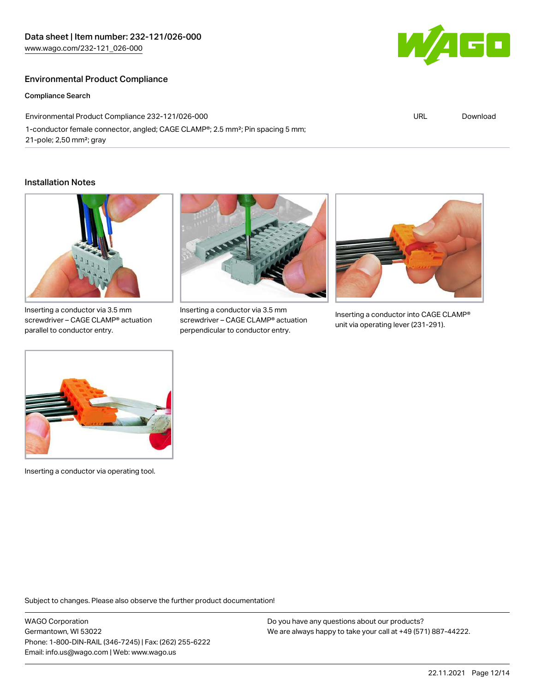### Environmental Product Compliance

Compliance Search

Environmental Product Compliance 232-121/026-000 1-conductor female connector, angled; CAGE CLAMP®; 2.5 mm²; Pin spacing 5 mm; 21-pole; 2,50 mm²; gray

#### Installation Notes



Inserting a conductor via 3.5 mm screwdriver – CAGE CLAMP® actuation parallel to conductor entry.



Inserting a conductor via 3.5 mm screwdriver – CAGE CLAMP® actuation perpendicular to conductor entry.



Inserting a conductor into CAGE CLAMP® unit via operating lever (231-291).



Inserting a conductor via operating tool.

Subject to changes. Please also observe the further product documentation!

WAGO Corporation Germantown, WI 53022 Phone: 1-800-DIN-RAIL (346-7245) | Fax: (262) 255-6222 Email: info.us@wago.com | Web: www.wago.us

Do you have any questions about our products? We are always happy to take your call at +49 (571) 887-44222.



URL [Download](https://www.wago.com/global/d/ComplianceLinkMediaContainer_232-121_026-000)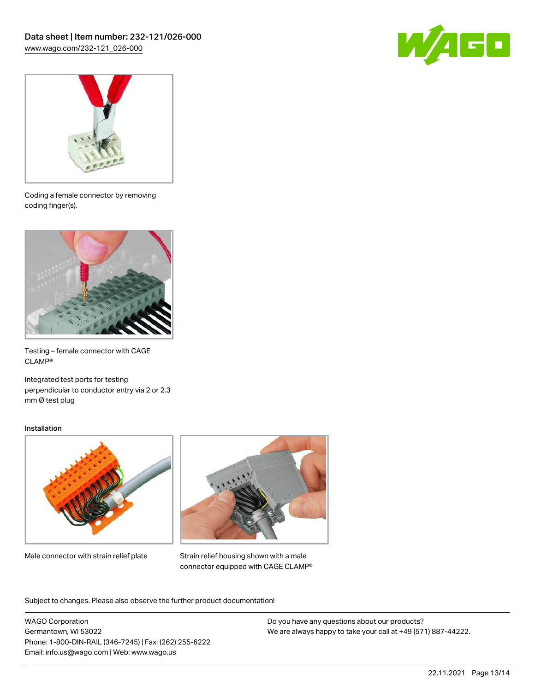



Coding a female connector by removing coding finger(s).



Testing – female connector with CAGE CLAMP®

Integrated test ports for testing perpendicular to conductor entry via 2 or 2.3 mm Ø test plug

#### Installation



Male connector with strain relief plate



Strain relief housing shown with a male connector equipped with CAGE CLAMP®

Subject to changes. Please also observe the further product documentation!

WAGO Corporation Germantown, WI 53022 Phone: 1-800-DIN-RAIL (346-7245) | Fax: (262) 255-6222 Email: info.us@wago.com | Web: www.wago.us